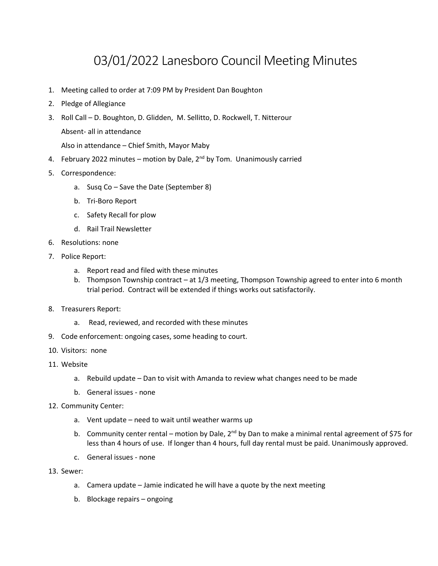# 03/01/2022 Lanesboro Council Meeting Minutes

- 1. Meeting called to order at 7:09 PM by President Dan Boughton
- 2. Pledge of Allegiance
- 3. Roll Call D. Boughton, D. Glidden, M. Sellitto, D. Rockwell, T. Nitterour Absent- all in attendance

Also in attendance – Chief Smith, Mayor Maby

- 4. February 2022 minutes motion by Dale, 2<sup>nd</sup> by Tom. Unanimously carried
- 5. Correspondence:
	- a. Susq Co Save the Date (September 8)
	- b. Tri-Boro Report
	- c. Safety Recall for plow
	- d. Rail Trail Newsletter
- 6. Resolutions: none
- 7. Police Report:
	- a. Report read and filed with these minutes
	- b. Thompson Township contract at 1/3 meeting, Thompson Township agreed to enter into 6 month trial period. Contract will be extended if things works out satisfactorily.
- 8. Treasurers Report:
	- a. Read, reviewed, and recorded with these minutes
- 9. Code enforcement: ongoing cases, some heading to court.
- 10. Visitors: none
- 11. Website
	- a. Rebuild update Dan to visit with Amanda to review what changes need to be made
	- b. General issues none
- 12. Community Center:
	- a. Vent update need to wait until weather warms up
	- b. Community center rental motion by Dale,  $2^{nd}$  by Dan to make a minimal rental agreement of \$75 for less than 4 hours of use. If longer than 4 hours, full day rental must be paid. Unanimously approved.
	- c. General issues none
- 13. Sewer:
	- a. Camera update Jamie indicated he will have a quote by the next meeting
	- b. Blockage repairs ongoing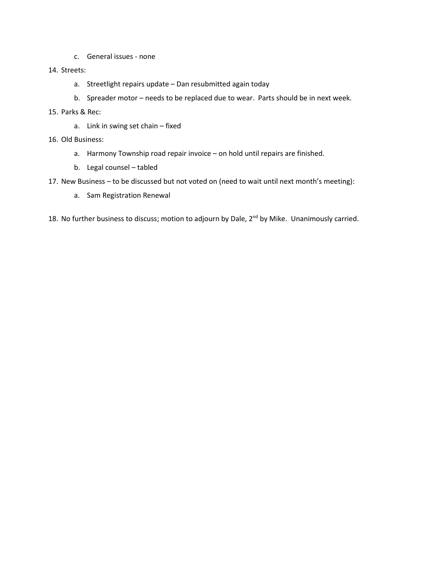- c. General issues none
- 14. Streets:
	- a. Streetlight repairs update Dan resubmitted again today
	- b. Spreader motor needs to be replaced due to wear. Parts should be in next week.
- 15. Parks & Rec:
	- a. Link in swing set chain fixed
- 16. Old Business:
	- a. Harmony Township road repair invoice on hold until repairs are finished.
	- b. Legal counsel tabled
- 17. New Business to be discussed but not voted on (need to wait until next month's meeting):
	- a. Sam Registration Renewal
- 18. No further business to discuss; motion to adjourn by Dale, 2<sup>nd</sup> by Mike. Unanimously carried.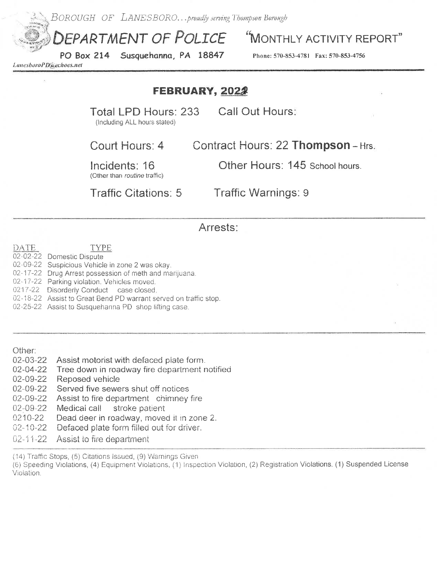BOROUGH OF LANESBORO...proudly serving Thompson Borough

EPARTMENT OF POLICE

Susquehanna, PA 18847 **PO Box 214** 

MONTHLY ACTIVITY REPORT"

Phone: 570-853-4781 Fax: 570-853-4756

LanesboroPD@echoes.net

### FEBRUARY, 2022

Total LPD Hours: 233 (Including ALL hours stated)

Call Out Hours:

Court Hours: 4

Contract Hours: 22 Thompson - Hrs.

Incidents: 16

Other Hours: 145 School hours.

(Other than routine traffic)

**Traffic Citations: 5** 

Traffic Warnings: 9

#### Arrests:

**DATE TYPE** 02-02-22 Domestic Dispute 02-09-22 Suspicious Vehicle in zone 2 was okay.

02-17-22 Drug Arrest possession of meth and marijuana.

02-17-22 Parking violation. Vehicles moved.

0217-22 Disorderly Conduct case closed.

02-18-22 Assist to Great Bend PD warrant served on traffic stop.

02-25-22 Assist to Susquehanna PD shop lifting case.

Other:

02-03-22 Assist motorist with defaced plate form.

Tree down in roadway fire department notified 02-04-22

02-09-22 Reposed vehicle

02-09-22 Served five sewers shut off notices

Assist to fire department chimney fire 02-09-22

02-09-22 Medical call stroke patient

Dead deer in roadway, moved it in zone 2. 0210-22

 $02 - 10 - 22$ Defaced plate form filled out for driver.

 $02 - 11 - 22$ Assist to fire department

(14) Traffic Stops, (5) Citations Issued, (9) Warnings Given

(6) Speeding Violations, (4) Equipment Violations, (1) Inspection Violation, (2) Registration Violations. (1) Suspended License Violation.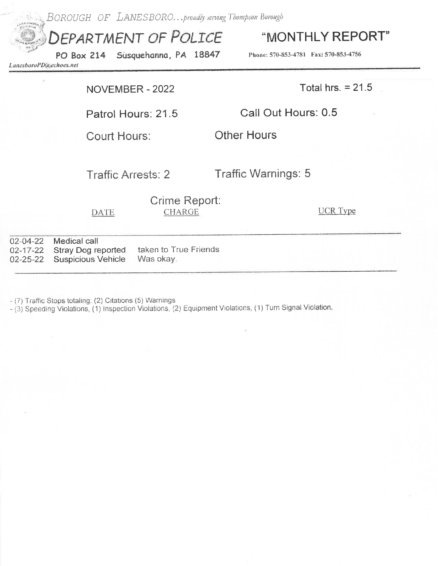

- (7) Traffic Stops totaling: (2) Citations (5) Warnings

- (3) Speeding Violations, (1) Inspection Violations, (2) Equipment Violations, (1) Turn Signal Violation.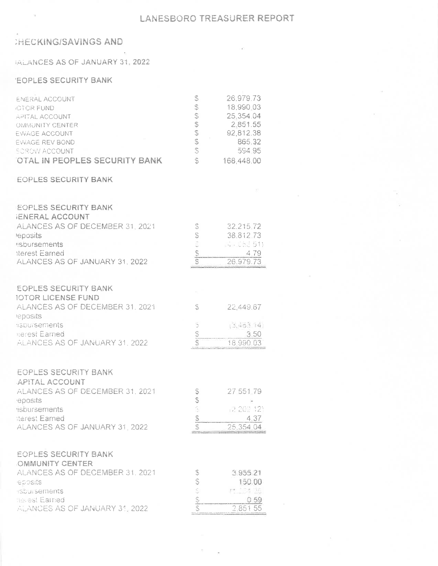### **HECKING/SAVINGS AND**

#### **IALANCES AS OF JANUARY 31, 2022**

#### **'EOPLES SECURITY BANK**

| <b>ENERAL ACCOUNT</b>                | S | 26.979.73  |
|--------------------------------------|---|------------|
| <b>ICTOR FUND</b>                    | S | 18,990.03  |
| APITAL ACCOUNT                       | S | 25,354.04  |
| OMMUNITY CENTER                      |   | 2.851.55   |
| EWAGE ACCOUNT                        | S | 92,812.38  |
| EWAGE REV BOND                       | Ŝ | 865.32     |
| <b><i>SCROW ACCOUNT</i></b>          | S | 594 95     |
| <b>OTAL IN PEOPLES SECURITY BANK</b> | S | 168,448.00 |

#### **EOPLES SECURITY BANK**

| <b>EOPLES SECURITY BANK</b>     |                |             |
|---------------------------------|----------------|-------------|
| <b>JENERAL ACCOUNT</b>          |                |             |
| ALANCES AS OF DECEMBER 31, 2021 | S              | 32.215.72   |
| leposits                        | S              | 38.81273    |
| <b>Isbursements</b>             | j.             | 16-1053 511 |
| tterest Earned                  | $\mathbb{S}$   | 479         |
| ALANCES AS OF JANUARY 31, 2022  | \$             | 26.979.73   |
|                                 |                |             |
| <b>EOPLES SECURITY BANK</b>     |                |             |
| <b>IOTOR LICENSE FUND</b>       |                |             |
| ALANCES AS OF DECEMBER 31, 2021 | S              | 22,449.67   |
| leposits                        |                |             |
| <b>ISDUISements</b>             | $\overline{z}$ | (3,453.44)  |
| <b>Rerest Earned</b>            |                | 3.50        |
| ALANCES AS OF JANUARY 31, 2022  | <b>99 (9)</b>  | 18 990 03   |
|                                 |                |             |
|                                 |                |             |
| <b>EOPLES SECURITY BANK</b>     |                |             |
| APITAL ACCOUNT                  |                |             |
| ALANCES AS OF DECEMBER 31, 2021 | $\mathbb{S}$   | 27 551 79   |
| eposits                         | 69 (3)         |             |
| isbursements                    |                | 2 202 12    |
| tterest Earned                  | $\frac{1}{2}$  | 4.37        |
| ALANCES AS OF JANUARY 31 2022   | S              | 25,354 04   |
|                                 |                |             |
| <b>EOPLES SECURITY BANK</b>     |                |             |
| <b>OMMUNITY CENTER</b>          |                |             |
| ALANCES AS OF DECEMBER 31, 2021 | \$             | 3 955 21    |
| eposits                         | (4.46)         | 150.00      |
| stoursements                    |                | PT 134 16   |
| nellest Earned                  | Sh (S)         | 0.59        |
| ALANCES AS OF JANUARY 31, 2022  |                | 285155      |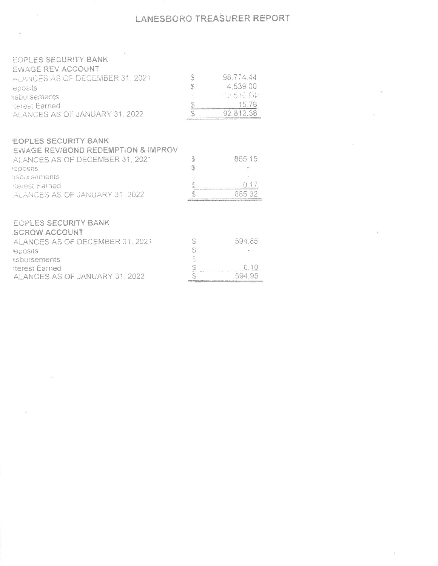### LANESBORO TREASURER REPORT

 $-24$ 

**CONTRACTOR** 

 $\mathcal{L}^{\text{max}}_{\text{max}}$  and  $\mathcal{L}^{\text{max}}_{\text{max}}$ 

 $\sim 10$ 

| <b>EOPLES SECURITY BANK</b><br><b>EWAGE REV ACCOUNT</b><br>ALANCES AS OF DECEMBER 31, 2021<br>leposits<br><b>usbursements</b><br>tterest Earned<br>ALANCES AS OF JANUARY 31, 2022                   | S<br>S<br>$\left\vert \varsigma \beta \right\rangle$<br>S | 98,774,44<br>4,539.00<br>그런 5 1만 84<br>15.78<br>92 812.38 |
|-----------------------------------------------------------------------------------------------------------------------------------------------------------------------------------------------------|-----------------------------------------------------------|-----------------------------------------------------------|
| <b>EOPLES SECURITY BANK</b><br>EWAGE REVIBOND REDEMPTION & IMPROV<br>ALANCES AS OF DECEMBER 31, 2021<br>leposits<br>asbursements<br>iterest Earned<br>ALANCES AS OF JANUARY 31 2022                 | \$<br>S<br>وأنكيان<br>S                                   | 865 15<br>0.17<br>865 32                                  |
| <b>EOPLES SECURITY BANK</b><br><b>SCROW ACCOUNT</b><br>ALANCES AS OF DECEMBER 31, 2021<br><b>reposits</b><br><i><b>IIshursements</b></i><br><b>iterest Earned</b><br>ALANCES AS OF JANUARY 31, 2022 | S<br>S<br>i<br>V<br>50 (G)                                | 594.85<br>0.10<br>594.95                                  |

 $\lambda$ 

 $\leq \epsilon$ 

B.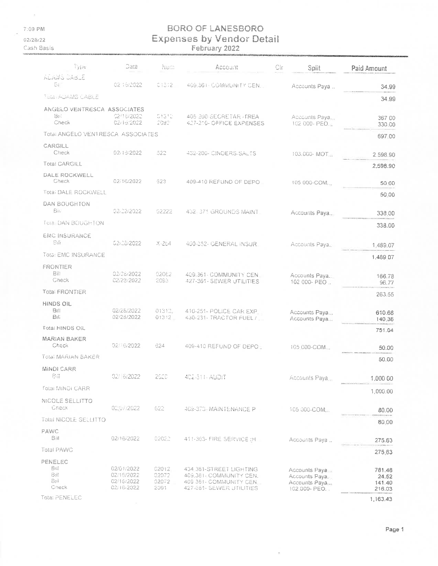$\left\langle \uparrow \right\rangle$ 7:09 PM

 $02/28/22$ 

Cash Basis

# BORO OF LANESBORO **Expenses by Vendor Detail**<br>February 2022

| ैं पुरान                              | Date                                                 | Num                             | Account                                                                                                 | Gir<br>Split                                                      | Paid Amount                         |
|---------------------------------------|------------------------------------------------------|---------------------------------|---------------------------------------------------------------------------------------------------------|-------------------------------------------------------------------|-------------------------------------|
| ACAMS JABJE<br>51                     | 02/16/2022                                           | 0.1372                          | 409.361 - COMMUNITY CEN.                                                                                | Accounts Paya                                                     | 34.99                               |
| TULE ADAMS CABLE                      |                                                      |                                 |                                                                                                         |                                                                   | 34.99                               |
| ANGELO VENTRESCA ASSOCIATES           |                                                      |                                 |                                                                                                         |                                                                   |                                     |
| Bet<br>Check                          | 02/16/2022<br>02/16/2022                             | 03312<br>2092                   | 405 200 SECRETAR / FREA<br>427-210- OFFICE EXPENSES                                                     | Accounts Paya.<br>102 000- PEO.                                   | 367 00<br>330.00                    |
| Total ANGELO VENTRESCA ASSOCIATES     |                                                      |                                 |                                                                                                         |                                                                   | 697.00                              |
| CARGILL<br>Check                      | 02/16/2022                                           | 522                             | 432-200- CINDERS/SALTS                                                                                  | 103.000-MOT                                                       | 2.598.90                            |
| <b>Total CARGILL</b>                  |                                                      |                                 |                                                                                                         |                                                                   | 2,598.90                            |
| <b>DALE ROCKWELL</b><br>Check         | 02/16/2022                                           | 623                             | 409-410 REFUND OF DEPO                                                                                  | 105 000-COM.                                                      | 50.00                               |
| <b>Total DALE ROCKWELL</b>            |                                                      |                                 |                                                                                                         |                                                                   | 50.00                               |
| DAN BOUGHTON                          |                                                      |                                 |                                                                                                         |                                                                   |                                     |
| <b>Bill</b>                           | 02/22/2022                                           | 52222                           | 432 371 GROUNDS MAINT                                                                                   | Accounts Paya.                                                    | 338.00                              |
| Total DAN BOUGHTON                    |                                                      |                                 |                                                                                                         |                                                                   | 338.00                              |
| EMC INSURANCE<br>Sii                  | 02/26/2022                                           | X-254                           | 400-352- GENERAL INSUR                                                                                  | Accounts Paya.                                                    | 1,489.07                            |
| Tota: EMC INSURANCE                   |                                                      |                                 |                                                                                                         |                                                                   | 1,489 07                            |
| FRONTIER<br>管津<br>Check               | 02/28/2022<br>02/28/2022                             | 02062<br>2093                   | 409-361- COMMUNITY CEN                                                                                  | Accounts Paya.                                                    | 166.78                              |
| <b>Total FRONTIER</b>                 |                                                      |                                 | 427-361-SEWER UTILITIES                                                                                 | 102 000- PEO                                                      | 96.77                               |
| HINDS OIL                             |                                                      |                                 |                                                                                                         |                                                                   | 263 55                              |
| <b>Bill</b><br>Bili                   | 02/28/2022<br>02/28/2022                             | 01312<br>$01312 -$              | 410-251- POLICE CAR EXP<br>430-231- TRACTOR FUEL /                                                      | Accounts Paya<br>Accounts Paya                                    | 610.68<br>140.36                    |
| <b>Total HINDS OIL</b>                |                                                      |                                 |                                                                                                         |                                                                   | 751.04                              |
| <b>MARIAN BAKER</b><br>Check          | 02/16/2022                                           | 624                             | 409-410 REFUND OF DEPO                                                                                  | 105.000-COM                                                       | 50.00                               |
| Total MARIAN BAKER                    |                                                      |                                 |                                                                                                         |                                                                   | 50.00                               |
| MINDI CARR<br>84                      | 02/6/2022                                            | 2620                            | 402-311-AUDIT                                                                                           | Accounts Paya                                                     | 1,000 00                            |
| <b>Fotal MINDI CARR</b>               |                                                      |                                 |                                                                                                         |                                                                   | 1,000.00                            |
| NICOLE SELLITTO<br>Check              | 02/07/2022                                           | 622                             | 409-373-MAINTENANCE P                                                                                   | 105-000-COM                                                       | 80.00                               |
| Total NICOLE SELLITTO                 |                                                      |                                 |                                                                                                         |                                                                   | 80.00                               |
| PAWC                                  |                                                      |                                 |                                                                                                         |                                                                   |                                     |
| B田<br><b>Total PAWC</b>               | 02/16/2022                                           | 02022                           | 411-363- FIRE SERVICE (H                                                                                | Accounts Paya                                                     | 275.63                              |
|                                       |                                                      |                                 |                                                                                                         |                                                                   | 275.63                              |
| PENELEC<br>8曲<br>Bill<br>Bil<br>Gneck | 02/01/2022<br>02/16/2022<br>02/16/2022<br>02/16/2022 | 02012<br>02072<br>02072<br>2091 | 434 361-STREET LIGHTING<br>409.361 COMMUNITY CEN.<br>409 361- COMMUNITY CEN<br>427-361- SEWER UTILITIES | Accounts Paya<br>Accounts Paya.<br>Accounts Paya<br>102.000- PEO. | 781.48<br>24.52<br>141.40<br>216.03 |
| Total PENELEC                         |                                                      |                                 |                                                                                                         |                                                                   | 1,163.43                            |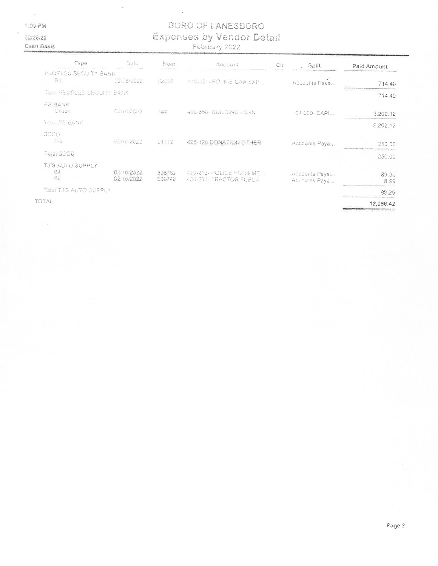$\alpha$  $109.20$  i.

02/28/22 Cash Basis

# **BORO OF LANESBORO** Expenses by Vendor Detail

 $\epsilon$ 

| Type                                   | Date                   | NUTT             | Account                                           | Clr | Split                            | Paid Amount   |
|----------------------------------------|------------------------|------------------|---------------------------------------------------|-----|----------------------------------|---------------|
| PEOPLES SECUITY BANK                   |                        |                  |                                                   |     |                                  |               |
| Sa.                                    | CD/DB/2012             | 02.02            | 410-251-POLICE CAR EXP =                          |     | Accounts Paya                    | 714.40        |
| FIXE PEOPLES SECURITY BANK             |                        |                  |                                                   |     |                                  | 714.40        |
| <b>AVANA</b><br><b>C</b> heck          | 02/16/2022             | 144              | 408-350- BUILD NO LOAN                            |     | 104.000- CAPI                    | 2,202.12      |
| TOIG PS BANK                           |                        |                  |                                                   |     |                                  | 2.202.12      |
| SCCO<br>Sul                            | 62 no 2022             | U3172            | 425-120 DONATION OTHER                            |     | Accounts Paya                    | 250.00        |
| Total SCCD                             |                        |                  |                                                   |     |                                  | 250.00        |
| TJ'S AUTO SUPPLY<br><b>Bill</b><br>3.1 | 02 0/2022<br>0216/2022 | 938782<br>839748 | 4.0-213- POLICE EQUIPME<br>430-231- TRACTOR FUELT |     | Accounts Paya.<br>Accourtis Paya | 89.30<br>8.99 |
| TOTAL TJ S AUTO SUPPLY                 |                        |                  |                                                   |     |                                  | 98.29         |
| OTAL                                   |                        |                  |                                                   |     |                                  | 12,056.42     |

TOTAL

 $\tilde{\omega}$ 

Page 2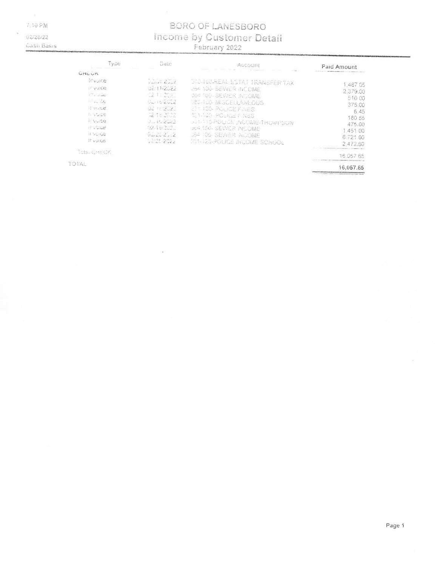7:10 PM

02/28/22

#### **Cash Basis**

# BORO OF LANESBORO Income by Customer Detail

| Type.                                                                                        | <b>Date</b>                                                      | ACCOUNT                                                                                                           | Paid Amount                                                                                                                                                                                                                                 |
|----------------------------------------------------------------------------------------------|------------------------------------------------------------------|-------------------------------------------------------------------------------------------------------------------|---------------------------------------------------------------------------------------------------------------------------------------------------------------------------------------------------------------------------------------------|
| GNEUK<br>thypice.<br>IF VOICES                                                               | $0.2514 \pm 2.312$<br>02/11/2022                                 | <b><i>DIC TOUREAL ESTAT TRANSFER TAX</i></b><br>LIDA 100- SEWER INCOME.                                           | 1.487.05<br>2.379.00                                                                                                                                                                                                                        |
| <b>CONTRACTOR</b><br>$\rightarrow$ , $\mathcal{L}_{\rm c}$<br>id worked.<br><b>IT VOIDE!</b> | C2 1: 307.<br>$9 - 16222$<br>92 TESS 2<br>52 Ya 26.22            | <b>JU4 100 SEVIER NOUME</b><br><b>MECHILO MISCELLANEOUS</b><br>L2 100-RC LCB FILES<br><b>BET ACCEPCLICE FINES</b> | 510.00<br>375.00<br>6.45<br>180.55                                                                                                                                                                                                          |
| IFVUIDE<br>IT VOILE<br>INDIG:<br>it vace.                                                    | $1 - 11$ - Car 2<br>-12-16/2020<br>$V = L - L - L$<br>V2/21-2022 | <b>JULY 10 POETDE NOOME THOWNSON</b><br>JU4 100 SEWER NOOME<br>US4 106-SEWIER INJOME                              | 475.00<br>1.451.00<br>6.721.06                                                                                                                                                                                                              |
| Total UNEOK.                                                                                 |                                                                  | IT SHIRG-POLICE INCOME SCHOOL                                                                                     | 2472.60<br>16.067.65                                                                                                                                                                                                                        |
| TOTAL                                                                                        |                                                                  |                                                                                                                   | 16,057.65<br>The State of the Contract Contract Contract Contract Contract Contract Contract Contract Contract Contract Contract Contract Contract Contract Contract Contract Contract Contract Contract Contract Contract Contract Contrac |

Page 1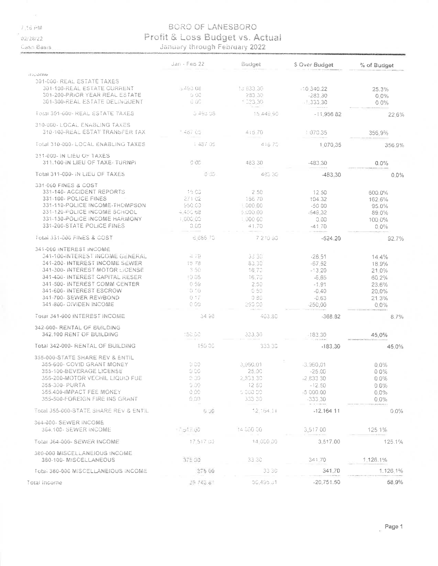7,36 PM

02/28/22

Casn Basis

# BORO OF LANESBORO Profit & Loss Budget vs. Actual

|                                                              | $Jan - FeB 22$ | Budget            | \$ Over Budget | % of Budget |
|--------------------------------------------------------------|----------------|-------------------|----------------|-------------|
| moome                                                        |                |                   |                |             |
| 301-000-REAL ESTATE TAXES                                    |                |                   |                |             |
| 301-100-REAL ESTATE CURRENT                                  | $-49308$       | 13 833 30         | 10.340.22      | 25.3%       |
| 301-200-PRIOR YEAR REAL ESTATE                               | 0.00           | 283.30            | $-283.30$      | $0.0\%$     |
| 301-300-REAL ESTATE DELINGUENT                               | 0 UC           | $^{\circ}$ C23 30 | $-1.333.30$    | 0.0%        |
| TOtal 301-000- REAL ESTATE TAXES                             | U 493 08       | 15 448 90         | $-11,956,82$   | 22.6%       |
| 310-000- LOCAL ENABLING TAXES                                |                |                   |                |             |
| 310-100-REAL ESTAT TRANSFER TAX                              | * 467.65       | 41670             | 107035         | 356.9%      |
| Total 310-000- LOCAL ENABLING TAXES                          | 1:487.05       | 416.70            | 1070.35        | 356 9%      |
| 311-000- IN LIEU OF TAXES<br>311.100-IN LIEU OF TAXE- TURNPI | G 00           | 483 30            | $-483.30$      | 0.0%        |
| Total 311-000- IN LIEU OF TAXES                              | 0JJ            | 483.30            | -483.30        | $0.0\%$     |
| 331-060 FINES & COST                                         |                |                   |                |             |
| 331-140- ACCIDENT REPORTS                                    | 16.00          | 2.50              | 12.50          | 600.0%      |
| 331-100- POLICE FINES                                        | 271 02         | 16670             | 104.32         | 162.6%      |
| 331-110-POLICE INCOME-THOMPSON                               | 950 CD         | $= 000.00$        | $-5000$        | 95.0%       |
| 331-126-POLICE INCOME SCHOOL                                 | 4,450.68       | 5.00.00           | $-549.32$      | 89.0%       |
| 331-130-POLICE INCOME HARMONY                                | 1,000.00       | 1.000.00          | 0.00           | 100.0%      |
| 331-200-STATE POLICE FINES                                   | 0.05           | 41.70             | $-41.70$       | $0.0\%$     |
| Total 331-000 FINES & COST                                   | 6,686.70       | 7 2 10 30         | $-524.20$      | 92.7%       |
| 341-000 INTEREST INCOME                                      |                |                   |                |             |
| <b>G41-100-INTEREST INCOME GENERAL</b>                       | $-19$          | 33.30             | $-28.51$       | 14.4%       |
| 341-200-INTEREST INCOME SEWER                                | 15.78          | 83.30             | $-57.62$       | 18.9%       |
| 341-300- INTEREST MOTOR LICENSE                              | 3.50           | 16.70             | $-13.20$       | 21.0%       |
| 341-400- INTEREST CAPITAL RESER                              | $-9.05$        | 16.70             | $-6.65$        | 60.2%       |
| 341-500- INTEREST COMM CENTER                                | 0.59           | 2.50              | $-1.91$        | 23.6%       |
| 341-600- INTEREST ESCROW                                     | 0.10           | 0.50              | $-0.40$        | 20.0%       |
| 341-700- SEWER REV/BOND                                      | 0.17           | 0.80              | $-0.63$        | 21.3%       |
| 341-800- OIVIDEN INCOME                                      | C <sub>0</sub> | 260.00            | 250,00         | $0.0\%$     |
| Total 341-000 INTEREST INCOME                                | 34.98          | 403.80            | $-368.82$      | 8.7%        |
| 342-000- RENTAL OF BUILDING                                  |                |                   |                |             |
| 342.100 RENT OF BUILDING                                     | 160.00         | 333.30            | $-183.30$      | 45.0%       |
| Total 342-000- RENTAL OF BUILDING                            | 150.00         | 333.30            | $-183.30$      | 45.0%       |
| 355-000-STATE SHARE REV & ENTIL                              |                |                   |                |             |
| 355-600- COVID GRANT MONEY                                   | 0.00           | 3.960.01          | -3,960.01      | $0.0\%$     |
| 355-100-BEVERAGE LICENSE                                     | 0.00           | 25.00             | $-25.00$       | 0.0%        |
| 355-200-MOTOR VECHIL LIQUID FUE                              | $0.00\,$       | 2,833.30          | -2,833.30      | $0.0\%$     |
| 355-300- PURTA                                               | 0.00           | 12.50             | $-12.50$       | $0.0\%$     |
| 355.400-IMPACT FEE MONEY                                     | 0.00           | 5,000.00          | -5 000.00      | $0.0\%$     |
| 355-500-FOREIGN FIRE INS GRANT                               | $0.00 -$       | 333.30            | -333.30        | $0.0\%$     |
| Total 355-000-STATE SHARE REV & ENTIL                        | o ye           | 12.164.11         | $-12.16411$    | 0.0%        |
| 364-000-SEWER INCOME                                         |                |                   |                |             |
| 364.100- SEWER INCOME                                        | 1 Trad 2, 60   | 14 000 00         | 3.517.00       | 125 1%      |
| Total 364-000- SEWER INCOME                                  | 17.517.00      | 14.000.00         | 3,517.00       | 125.1%      |
| 380-000 MISCELLANEIOUS INCOME<br>380-100- MISCELLANEOUS      | 375.00         | 33.30             | 341.70         | 1.126.1%    |
| <b>Total 380-000 MISCELLANEIOUS INCOME</b>                   | 275 00         | 33.30             | 341.70         | 1.126.1%    |
|                                                              |                |                   |                |             |
| Total income                                                 | 39.343.61      | 50 495 51         | $-20,751.50$   | 58.9%       |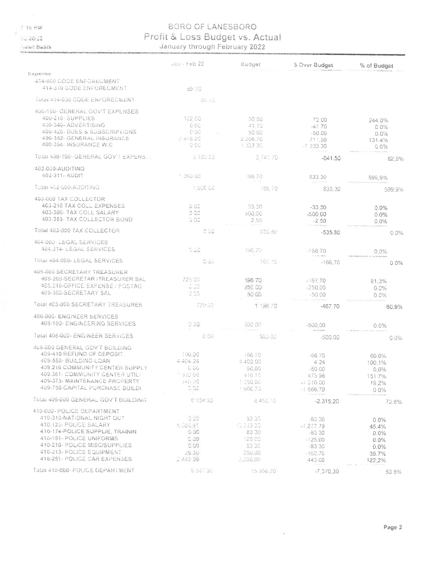$7.16 - 60$ 

 $-28.22$ 

**Jash Basis** 

#### BORO OF LANESBORO Profit & Loss Budget vs. Actual January through February 2022

| 414-060 COOE ENFORECMENT<br>414-310 CODE ENFORECMENT<br>86.50<br>TOtal #14-000 CODE ENFORECMENT<br>88.50<br>400-100- GENERAL GOV'T EXPENSES<br>400-210-SUPPLIES<br>122.00<br>50.00<br>72.00<br>244.0%<br>400-340-ADVERTISING<br>O OC<br>41.70<br>$-4170$<br>0.0%<br>400-420 - OUES & SUBSCRIPTIONS<br>e oa<br>50.00<br>$-50.00$<br>0.0%<br>400-352- GENERAL INSURANCE<br>2.978.20<br>2 266.70<br>711.50<br>131.4%<br>400-354- INSURANCE W.C<br>e oc<br>1 333 36<br>$-1.333.30$<br>$0.0\%$<br>TOTAL 400-100- GENERAL GOV'L EXPENS.<br>3 100 20<br>3.741.70<br>$-541.50$<br>82.9%<br>402-000-AUDITING<br>402-311- AUDIT<br>$+55,00$<br>66.70<br>833 30<br>599.9%<br>Total 402-000-AUDITING<br>1.000.00<br>16670<br>833.30<br>599.9%<br>403-060 TAX COLLECTOR<br>403-210 TAX COLL EXPENSES<br>0.00<br>33.30<br>$-33.20$<br>0.0%<br>403-300- TAX COLL SALARY<br>0C<br>500,00<br>$-500.00$<br>0.0%<br>403-353- TAX COLLECTOR BOND<br>G 60<br>2:50<br>$-2.50$<br>$0.0\%$<br>Total 403-000 TAX COLLECTOR<br>O CO<br>535.80<br>$-535.80$<br>C 0%<br>404-003-LEGAL SERVICES<br>404.314- LEGAL SERVICES<br>5.52<br>166.70<br>$-166.70$<br>$0.0\%$<br>TOTAL 404-008-LEGAL SERVICES<br>0 uu<br>166.70<br>$-166.70$<br>0.0%<br>405-000 SECRETARY TREASURER<br>405-200-SECRETAR / TREASURER SAL<br>729.00<br>596.70<br>$=167.70$<br>81.3%<br>405.210-OFFICE EXPENSE / POSTAG<br>C.CO<br>250 00<br>$= 250.00$<br>0.0%<br>405-300-SECRETARY SAL<br>3.25<br>50.00<br>$-50.00$<br>00%<br>Total 405-000 SECRETARY TREASURER<br>729.00<br>1 196 73<br>-467.70<br>60.9%<br>408-000- ENGINEER SERVICES<br>408-100- ENGINEERING SERVICES<br>0.06<br>500.00<br>$-500.00$<br>$0.0\%$<br>Total 408-000- ENGINEER SERVICES<br>0.00<br>500.00<br>-500.00<br>0.0%<br>469-680 GENERAL GOVIT BUILDING<br>409-410 REFUND OF DEPOSIT<br>100.00<br>166,70<br>$-66.70$<br>60.0%<br>469-550- BUILDING LOAN<br>4 404 24<br>4 400 00<br>424<br>100.1%<br>409.210 COMMUNITY CENTER SUPPLY<br>しじし<br>50.00<br>-50.00<br>0.0%<br>409.361 COMMUNITY CENTER UTIL:<br>1390-66<br>916.70<br>473 96<br>151 7%<br>409-373- MAINTENANCE PROPERTY<br>조리 오우<br>1.550.06<br>$-1010.00$<br>19.2%<br>409-750-CAPITAL PURCHASE BUILDI<br>0.02<br>1566.70<br>$-1666.70$<br>00%<br>Total 409-000 GENERAL GOV'T BLILDING<br>$5 - 34 - 31$<br>8 450 10<br>$-2.315.20$<br>72.6%<br>410-000- POLICE DEPARTMENT<br>410-310-NATIONAL NIGHT OUT<br>0.00<br>83.30<br>$-83.30$<br>0.0%<br>410-133- POLICE SALARY<br>1, 0, 0, 0<br>10 333 30<br>$-7,277,79$<br>45.4%<br>410-174-POLICE SUPPLIE, TRAININ<br>0.05<br>83 30<br>$-83.30$<br>0.0%<br>410-191- POLICE UNIFORMS<br>0.00<br>125.00<br>$-125.00$<br>0.0%<br>410-210- POLICE MISC/SUPPLIES<br>0.00<br>33.30<br>$-83.30$<br>$0.0\%$<br>410-213- FOLICE EQUIPMENT<br>39.30.<br>250 00<br>$-160.70$<br>35.7%<br>410-251- POLICE CAR EXPENSES<br>. A43.09.<br>2,000.00<br>443.09<br>122.2%<br>Total 410-000 - POLICE DEPARTMENT<br>5 381 96<br>15 958 20<br>$-7,370,30$<br>538% |         | Jan - Feb 22 | Eudget | \$ Over Budget | % of Budget |
|-----------------------------------------------------------------------------------------------------------------------------------------------------------------------------------------------------------------------------------------------------------------------------------------------------------------------------------------------------------------------------------------------------------------------------------------------------------------------------------------------------------------------------------------------------------------------------------------------------------------------------------------------------------------------------------------------------------------------------------------------------------------------------------------------------------------------------------------------------------------------------------------------------------------------------------------------------------------------------------------------------------------------------------------------------------------------------------------------------------------------------------------------------------------------------------------------------------------------------------------------------------------------------------------------------------------------------------------------------------------------------------------------------------------------------------------------------------------------------------------------------------------------------------------------------------------------------------------------------------------------------------------------------------------------------------------------------------------------------------------------------------------------------------------------------------------------------------------------------------------------------------------------------------------------------------------------------------------------------------------------------------------------------------------------------------------------------------------------------------------------------------------------------------------------------------------------------------------------------------------------------------------------------------------------------------------------------------------------------------------------------------------------------------------------------------------------------------------------------------------------------------------------------------------------------------------------------------------------------------------------------------------------------------------------------------------------------------------------------------------------------------------------------------------------------------------------------------------------------------------------------------------------------------------------------------------------------------------|---------|--------------|--------|----------------|-------------|
|                                                                                                                                                                                                                                                                                                                                                                                                                                                                                                                                                                                                                                                                                                                                                                                                                                                                                                                                                                                                                                                                                                                                                                                                                                                                                                                                                                                                                                                                                                                                                                                                                                                                                                                                                                                                                                                                                                                                                                                                                                                                                                                                                                                                                                                                                                                                                                                                                                                                                                                                                                                                                                                                                                                                                                                                                                                                                                                                                                 | Expense |              |        |                |             |
|                                                                                                                                                                                                                                                                                                                                                                                                                                                                                                                                                                                                                                                                                                                                                                                                                                                                                                                                                                                                                                                                                                                                                                                                                                                                                                                                                                                                                                                                                                                                                                                                                                                                                                                                                                                                                                                                                                                                                                                                                                                                                                                                                                                                                                                                                                                                                                                                                                                                                                                                                                                                                                                                                                                                                                                                                                                                                                                                                                 |         |              |        |                |             |
|                                                                                                                                                                                                                                                                                                                                                                                                                                                                                                                                                                                                                                                                                                                                                                                                                                                                                                                                                                                                                                                                                                                                                                                                                                                                                                                                                                                                                                                                                                                                                                                                                                                                                                                                                                                                                                                                                                                                                                                                                                                                                                                                                                                                                                                                                                                                                                                                                                                                                                                                                                                                                                                                                                                                                                                                                                                                                                                                                                 |         |              |        |                |             |
|                                                                                                                                                                                                                                                                                                                                                                                                                                                                                                                                                                                                                                                                                                                                                                                                                                                                                                                                                                                                                                                                                                                                                                                                                                                                                                                                                                                                                                                                                                                                                                                                                                                                                                                                                                                                                                                                                                                                                                                                                                                                                                                                                                                                                                                                                                                                                                                                                                                                                                                                                                                                                                                                                                                                                                                                                                                                                                                                                                 |         |              |        |                |             |
|                                                                                                                                                                                                                                                                                                                                                                                                                                                                                                                                                                                                                                                                                                                                                                                                                                                                                                                                                                                                                                                                                                                                                                                                                                                                                                                                                                                                                                                                                                                                                                                                                                                                                                                                                                                                                                                                                                                                                                                                                                                                                                                                                                                                                                                                                                                                                                                                                                                                                                                                                                                                                                                                                                                                                                                                                                                                                                                                                                 |         |              |        |                |             |
|                                                                                                                                                                                                                                                                                                                                                                                                                                                                                                                                                                                                                                                                                                                                                                                                                                                                                                                                                                                                                                                                                                                                                                                                                                                                                                                                                                                                                                                                                                                                                                                                                                                                                                                                                                                                                                                                                                                                                                                                                                                                                                                                                                                                                                                                                                                                                                                                                                                                                                                                                                                                                                                                                                                                                                                                                                                                                                                                                                 |         |              |        |                |             |
|                                                                                                                                                                                                                                                                                                                                                                                                                                                                                                                                                                                                                                                                                                                                                                                                                                                                                                                                                                                                                                                                                                                                                                                                                                                                                                                                                                                                                                                                                                                                                                                                                                                                                                                                                                                                                                                                                                                                                                                                                                                                                                                                                                                                                                                                                                                                                                                                                                                                                                                                                                                                                                                                                                                                                                                                                                                                                                                                                                 |         |              |        |                |             |
|                                                                                                                                                                                                                                                                                                                                                                                                                                                                                                                                                                                                                                                                                                                                                                                                                                                                                                                                                                                                                                                                                                                                                                                                                                                                                                                                                                                                                                                                                                                                                                                                                                                                                                                                                                                                                                                                                                                                                                                                                                                                                                                                                                                                                                                                                                                                                                                                                                                                                                                                                                                                                                                                                                                                                                                                                                                                                                                                                                 |         |              |        |                |             |
|                                                                                                                                                                                                                                                                                                                                                                                                                                                                                                                                                                                                                                                                                                                                                                                                                                                                                                                                                                                                                                                                                                                                                                                                                                                                                                                                                                                                                                                                                                                                                                                                                                                                                                                                                                                                                                                                                                                                                                                                                                                                                                                                                                                                                                                                                                                                                                                                                                                                                                                                                                                                                                                                                                                                                                                                                                                                                                                                                                 |         |              |        |                |             |
|                                                                                                                                                                                                                                                                                                                                                                                                                                                                                                                                                                                                                                                                                                                                                                                                                                                                                                                                                                                                                                                                                                                                                                                                                                                                                                                                                                                                                                                                                                                                                                                                                                                                                                                                                                                                                                                                                                                                                                                                                                                                                                                                                                                                                                                                                                                                                                                                                                                                                                                                                                                                                                                                                                                                                                                                                                                                                                                                                                 |         |              |        |                |             |
|                                                                                                                                                                                                                                                                                                                                                                                                                                                                                                                                                                                                                                                                                                                                                                                                                                                                                                                                                                                                                                                                                                                                                                                                                                                                                                                                                                                                                                                                                                                                                                                                                                                                                                                                                                                                                                                                                                                                                                                                                                                                                                                                                                                                                                                                                                                                                                                                                                                                                                                                                                                                                                                                                                                                                                                                                                                                                                                                                                 |         |              |        |                |             |
|                                                                                                                                                                                                                                                                                                                                                                                                                                                                                                                                                                                                                                                                                                                                                                                                                                                                                                                                                                                                                                                                                                                                                                                                                                                                                                                                                                                                                                                                                                                                                                                                                                                                                                                                                                                                                                                                                                                                                                                                                                                                                                                                                                                                                                                                                                                                                                                                                                                                                                                                                                                                                                                                                                                                                                                                                                                                                                                                                                 |         |              |        |                |             |
|                                                                                                                                                                                                                                                                                                                                                                                                                                                                                                                                                                                                                                                                                                                                                                                                                                                                                                                                                                                                                                                                                                                                                                                                                                                                                                                                                                                                                                                                                                                                                                                                                                                                                                                                                                                                                                                                                                                                                                                                                                                                                                                                                                                                                                                                                                                                                                                                                                                                                                                                                                                                                                                                                                                                                                                                                                                                                                                                                                 |         |              |        |                |             |
|                                                                                                                                                                                                                                                                                                                                                                                                                                                                                                                                                                                                                                                                                                                                                                                                                                                                                                                                                                                                                                                                                                                                                                                                                                                                                                                                                                                                                                                                                                                                                                                                                                                                                                                                                                                                                                                                                                                                                                                                                                                                                                                                                                                                                                                                                                                                                                                                                                                                                                                                                                                                                                                                                                                                                                                                                                                                                                                                                                 |         |              |        |                |             |
|                                                                                                                                                                                                                                                                                                                                                                                                                                                                                                                                                                                                                                                                                                                                                                                                                                                                                                                                                                                                                                                                                                                                                                                                                                                                                                                                                                                                                                                                                                                                                                                                                                                                                                                                                                                                                                                                                                                                                                                                                                                                                                                                                                                                                                                                                                                                                                                                                                                                                                                                                                                                                                                                                                                                                                                                                                                                                                                                                                 |         |              |        |                |             |
|                                                                                                                                                                                                                                                                                                                                                                                                                                                                                                                                                                                                                                                                                                                                                                                                                                                                                                                                                                                                                                                                                                                                                                                                                                                                                                                                                                                                                                                                                                                                                                                                                                                                                                                                                                                                                                                                                                                                                                                                                                                                                                                                                                                                                                                                                                                                                                                                                                                                                                                                                                                                                                                                                                                                                                                                                                                                                                                                                                 |         |              |        |                |             |
|                                                                                                                                                                                                                                                                                                                                                                                                                                                                                                                                                                                                                                                                                                                                                                                                                                                                                                                                                                                                                                                                                                                                                                                                                                                                                                                                                                                                                                                                                                                                                                                                                                                                                                                                                                                                                                                                                                                                                                                                                                                                                                                                                                                                                                                                                                                                                                                                                                                                                                                                                                                                                                                                                                                                                                                                                                                                                                                                                                 |         |              |        |                |             |
|                                                                                                                                                                                                                                                                                                                                                                                                                                                                                                                                                                                                                                                                                                                                                                                                                                                                                                                                                                                                                                                                                                                                                                                                                                                                                                                                                                                                                                                                                                                                                                                                                                                                                                                                                                                                                                                                                                                                                                                                                                                                                                                                                                                                                                                                                                                                                                                                                                                                                                                                                                                                                                                                                                                                                                                                                                                                                                                                                                 |         |              |        |                |             |
|                                                                                                                                                                                                                                                                                                                                                                                                                                                                                                                                                                                                                                                                                                                                                                                                                                                                                                                                                                                                                                                                                                                                                                                                                                                                                                                                                                                                                                                                                                                                                                                                                                                                                                                                                                                                                                                                                                                                                                                                                                                                                                                                                                                                                                                                                                                                                                                                                                                                                                                                                                                                                                                                                                                                                                                                                                                                                                                                                                 |         |              |        |                |             |
|                                                                                                                                                                                                                                                                                                                                                                                                                                                                                                                                                                                                                                                                                                                                                                                                                                                                                                                                                                                                                                                                                                                                                                                                                                                                                                                                                                                                                                                                                                                                                                                                                                                                                                                                                                                                                                                                                                                                                                                                                                                                                                                                                                                                                                                                                                                                                                                                                                                                                                                                                                                                                                                                                                                                                                                                                                                                                                                                                                 |         |              |        |                |             |
|                                                                                                                                                                                                                                                                                                                                                                                                                                                                                                                                                                                                                                                                                                                                                                                                                                                                                                                                                                                                                                                                                                                                                                                                                                                                                                                                                                                                                                                                                                                                                                                                                                                                                                                                                                                                                                                                                                                                                                                                                                                                                                                                                                                                                                                                                                                                                                                                                                                                                                                                                                                                                                                                                                                                                                                                                                                                                                                                                                 |         |              |        |                |             |
|                                                                                                                                                                                                                                                                                                                                                                                                                                                                                                                                                                                                                                                                                                                                                                                                                                                                                                                                                                                                                                                                                                                                                                                                                                                                                                                                                                                                                                                                                                                                                                                                                                                                                                                                                                                                                                                                                                                                                                                                                                                                                                                                                                                                                                                                                                                                                                                                                                                                                                                                                                                                                                                                                                                                                                                                                                                                                                                                                                 |         |              |        |                |             |
|                                                                                                                                                                                                                                                                                                                                                                                                                                                                                                                                                                                                                                                                                                                                                                                                                                                                                                                                                                                                                                                                                                                                                                                                                                                                                                                                                                                                                                                                                                                                                                                                                                                                                                                                                                                                                                                                                                                                                                                                                                                                                                                                                                                                                                                                                                                                                                                                                                                                                                                                                                                                                                                                                                                                                                                                                                                                                                                                                                 |         |              |        |                |             |
|                                                                                                                                                                                                                                                                                                                                                                                                                                                                                                                                                                                                                                                                                                                                                                                                                                                                                                                                                                                                                                                                                                                                                                                                                                                                                                                                                                                                                                                                                                                                                                                                                                                                                                                                                                                                                                                                                                                                                                                                                                                                                                                                                                                                                                                                                                                                                                                                                                                                                                                                                                                                                                                                                                                                                                                                                                                                                                                                                                 |         |              |        |                |             |
|                                                                                                                                                                                                                                                                                                                                                                                                                                                                                                                                                                                                                                                                                                                                                                                                                                                                                                                                                                                                                                                                                                                                                                                                                                                                                                                                                                                                                                                                                                                                                                                                                                                                                                                                                                                                                                                                                                                                                                                                                                                                                                                                                                                                                                                                                                                                                                                                                                                                                                                                                                                                                                                                                                                                                                                                                                                                                                                                                                 |         |              |        |                |             |
|                                                                                                                                                                                                                                                                                                                                                                                                                                                                                                                                                                                                                                                                                                                                                                                                                                                                                                                                                                                                                                                                                                                                                                                                                                                                                                                                                                                                                                                                                                                                                                                                                                                                                                                                                                                                                                                                                                                                                                                                                                                                                                                                                                                                                                                                                                                                                                                                                                                                                                                                                                                                                                                                                                                                                                                                                                                                                                                                                                 |         |              |        |                |             |
|                                                                                                                                                                                                                                                                                                                                                                                                                                                                                                                                                                                                                                                                                                                                                                                                                                                                                                                                                                                                                                                                                                                                                                                                                                                                                                                                                                                                                                                                                                                                                                                                                                                                                                                                                                                                                                                                                                                                                                                                                                                                                                                                                                                                                                                                                                                                                                                                                                                                                                                                                                                                                                                                                                                                                                                                                                                                                                                                                                 |         |              |        |                |             |
|                                                                                                                                                                                                                                                                                                                                                                                                                                                                                                                                                                                                                                                                                                                                                                                                                                                                                                                                                                                                                                                                                                                                                                                                                                                                                                                                                                                                                                                                                                                                                                                                                                                                                                                                                                                                                                                                                                                                                                                                                                                                                                                                                                                                                                                                                                                                                                                                                                                                                                                                                                                                                                                                                                                                                                                                                                                                                                                                                                 |         |              |        |                |             |
|                                                                                                                                                                                                                                                                                                                                                                                                                                                                                                                                                                                                                                                                                                                                                                                                                                                                                                                                                                                                                                                                                                                                                                                                                                                                                                                                                                                                                                                                                                                                                                                                                                                                                                                                                                                                                                                                                                                                                                                                                                                                                                                                                                                                                                                                                                                                                                                                                                                                                                                                                                                                                                                                                                                                                                                                                                                                                                                                                                 |         |              |        |                |             |
|                                                                                                                                                                                                                                                                                                                                                                                                                                                                                                                                                                                                                                                                                                                                                                                                                                                                                                                                                                                                                                                                                                                                                                                                                                                                                                                                                                                                                                                                                                                                                                                                                                                                                                                                                                                                                                                                                                                                                                                                                                                                                                                                                                                                                                                                                                                                                                                                                                                                                                                                                                                                                                                                                                                                                                                                                                                                                                                                                                 |         |              |        |                |             |
|                                                                                                                                                                                                                                                                                                                                                                                                                                                                                                                                                                                                                                                                                                                                                                                                                                                                                                                                                                                                                                                                                                                                                                                                                                                                                                                                                                                                                                                                                                                                                                                                                                                                                                                                                                                                                                                                                                                                                                                                                                                                                                                                                                                                                                                                                                                                                                                                                                                                                                                                                                                                                                                                                                                                                                                                                                                                                                                                                                 |         |              |        |                |             |
|                                                                                                                                                                                                                                                                                                                                                                                                                                                                                                                                                                                                                                                                                                                                                                                                                                                                                                                                                                                                                                                                                                                                                                                                                                                                                                                                                                                                                                                                                                                                                                                                                                                                                                                                                                                                                                                                                                                                                                                                                                                                                                                                                                                                                                                                                                                                                                                                                                                                                                                                                                                                                                                                                                                                                                                                                                                                                                                                                                 |         |              |        |                |             |
|                                                                                                                                                                                                                                                                                                                                                                                                                                                                                                                                                                                                                                                                                                                                                                                                                                                                                                                                                                                                                                                                                                                                                                                                                                                                                                                                                                                                                                                                                                                                                                                                                                                                                                                                                                                                                                                                                                                                                                                                                                                                                                                                                                                                                                                                                                                                                                                                                                                                                                                                                                                                                                                                                                                                                                                                                                                                                                                                                                 |         |              |        |                |             |
|                                                                                                                                                                                                                                                                                                                                                                                                                                                                                                                                                                                                                                                                                                                                                                                                                                                                                                                                                                                                                                                                                                                                                                                                                                                                                                                                                                                                                                                                                                                                                                                                                                                                                                                                                                                                                                                                                                                                                                                                                                                                                                                                                                                                                                                                                                                                                                                                                                                                                                                                                                                                                                                                                                                                                                                                                                                                                                                                                                 |         |              |        |                |             |
|                                                                                                                                                                                                                                                                                                                                                                                                                                                                                                                                                                                                                                                                                                                                                                                                                                                                                                                                                                                                                                                                                                                                                                                                                                                                                                                                                                                                                                                                                                                                                                                                                                                                                                                                                                                                                                                                                                                                                                                                                                                                                                                                                                                                                                                                                                                                                                                                                                                                                                                                                                                                                                                                                                                                                                                                                                                                                                                                                                 |         |              |        |                |             |
|                                                                                                                                                                                                                                                                                                                                                                                                                                                                                                                                                                                                                                                                                                                                                                                                                                                                                                                                                                                                                                                                                                                                                                                                                                                                                                                                                                                                                                                                                                                                                                                                                                                                                                                                                                                                                                                                                                                                                                                                                                                                                                                                                                                                                                                                                                                                                                                                                                                                                                                                                                                                                                                                                                                                                                                                                                                                                                                                                                 |         |              |        |                |             |
|                                                                                                                                                                                                                                                                                                                                                                                                                                                                                                                                                                                                                                                                                                                                                                                                                                                                                                                                                                                                                                                                                                                                                                                                                                                                                                                                                                                                                                                                                                                                                                                                                                                                                                                                                                                                                                                                                                                                                                                                                                                                                                                                                                                                                                                                                                                                                                                                                                                                                                                                                                                                                                                                                                                                                                                                                                                                                                                                                                 |         |              |        |                |             |
|                                                                                                                                                                                                                                                                                                                                                                                                                                                                                                                                                                                                                                                                                                                                                                                                                                                                                                                                                                                                                                                                                                                                                                                                                                                                                                                                                                                                                                                                                                                                                                                                                                                                                                                                                                                                                                                                                                                                                                                                                                                                                                                                                                                                                                                                                                                                                                                                                                                                                                                                                                                                                                                                                                                                                                                                                                                                                                                                                                 |         |              |        |                |             |
|                                                                                                                                                                                                                                                                                                                                                                                                                                                                                                                                                                                                                                                                                                                                                                                                                                                                                                                                                                                                                                                                                                                                                                                                                                                                                                                                                                                                                                                                                                                                                                                                                                                                                                                                                                                                                                                                                                                                                                                                                                                                                                                                                                                                                                                                                                                                                                                                                                                                                                                                                                                                                                                                                                                                                                                                                                                                                                                                                                 |         |              |        |                |             |
|                                                                                                                                                                                                                                                                                                                                                                                                                                                                                                                                                                                                                                                                                                                                                                                                                                                                                                                                                                                                                                                                                                                                                                                                                                                                                                                                                                                                                                                                                                                                                                                                                                                                                                                                                                                                                                                                                                                                                                                                                                                                                                                                                                                                                                                                                                                                                                                                                                                                                                                                                                                                                                                                                                                                                                                                                                                                                                                                                                 |         |              |        |                |             |
|                                                                                                                                                                                                                                                                                                                                                                                                                                                                                                                                                                                                                                                                                                                                                                                                                                                                                                                                                                                                                                                                                                                                                                                                                                                                                                                                                                                                                                                                                                                                                                                                                                                                                                                                                                                                                                                                                                                                                                                                                                                                                                                                                                                                                                                                                                                                                                                                                                                                                                                                                                                                                                                                                                                                                                                                                                                                                                                                                                 |         |              |        |                |             |
|                                                                                                                                                                                                                                                                                                                                                                                                                                                                                                                                                                                                                                                                                                                                                                                                                                                                                                                                                                                                                                                                                                                                                                                                                                                                                                                                                                                                                                                                                                                                                                                                                                                                                                                                                                                                                                                                                                                                                                                                                                                                                                                                                                                                                                                                                                                                                                                                                                                                                                                                                                                                                                                                                                                                                                                                                                                                                                                                                                 |         |              |        |                |             |
|                                                                                                                                                                                                                                                                                                                                                                                                                                                                                                                                                                                                                                                                                                                                                                                                                                                                                                                                                                                                                                                                                                                                                                                                                                                                                                                                                                                                                                                                                                                                                                                                                                                                                                                                                                                                                                                                                                                                                                                                                                                                                                                                                                                                                                                                                                                                                                                                                                                                                                                                                                                                                                                                                                                                                                                                                                                                                                                                                                 |         |              |        |                |             |
|                                                                                                                                                                                                                                                                                                                                                                                                                                                                                                                                                                                                                                                                                                                                                                                                                                                                                                                                                                                                                                                                                                                                                                                                                                                                                                                                                                                                                                                                                                                                                                                                                                                                                                                                                                                                                                                                                                                                                                                                                                                                                                                                                                                                                                                                                                                                                                                                                                                                                                                                                                                                                                                                                                                                                                                                                                                                                                                                                                 |         |              |        |                |             |
|                                                                                                                                                                                                                                                                                                                                                                                                                                                                                                                                                                                                                                                                                                                                                                                                                                                                                                                                                                                                                                                                                                                                                                                                                                                                                                                                                                                                                                                                                                                                                                                                                                                                                                                                                                                                                                                                                                                                                                                                                                                                                                                                                                                                                                                                                                                                                                                                                                                                                                                                                                                                                                                                                                                                                                                                                                                                                                                                                                 |         |              |        |                |             |
|                                                                                                                                                                                                                                                                                                                                                                                                                                                                                                                                                                                                                                                                                                                                                                                                                                                                                                                                                                                                                                                                                                                                                                                                                                                                                                                                                                                                                                                                                                                                                                                                                                                                                                                                                                                                                                                                                                                                                                                                                                                                                                                                                                                                                                                                                                                                                                                                                                                                                                                                                                                                                                                                                                                                                                                                                                                                                                                                                                 |         |              |        |                |             |
|                                                                                                                                                                                                                                                                                                                                                                                                                                                                                                                                                                                                                                                                                                                                                                                                                                                                                                                                                                                                                                                                                                                                                                                                                                                                                                                                                                                                                                                                                                                                                                                                                                                                                                                                                                                                                                                                                                                                                                                                                                                                                                                                                                                                                                                                                                                                                                                                                                                                                                                                                                                                                                                                                                                                                                                                                                                                                                                                                                 |         |              |        |                |             |
|                                                                                                                                                                                                                                                                                                                                                                                                                                                                                                                                                                                                                                                                                                                                                                                                                                                                                                                                                                                                                                                                                                                                                                                                                                                                                                                                                                                                                                                                                                                                                                                                                                                                                                                                                                                                                                                                                                                                                                                                                                                                                                                                                                                                                                                                                                                                                                                                                                                                                                                                                                                                                                                                                                                                                                                                                                                                                                                                                                 |         |              |        |                |             |

 $\epsilon$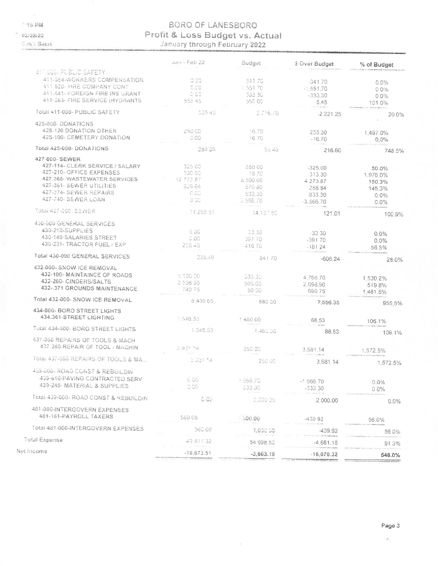15 PM

 $02/28/22$ 

Net

Cush Sasis

### **BORO OF LANESBORO** Profit & Loss Budget vs. Actual

|                                                                                                                                                                                           | Jan - Feb 22                                            | Budget                                                       | \$ Over Budget                                                        | % of Budget                                              |
|-------------------------------------------------------------------------------------------------------------------------------------------------------------------------------------------|---------------------------------------------------------|--------------------------------------------------------------|-----------------------------------------------------------------------|----------------------------------------------------------|
| <b>HE GOG PUBLIC SAFETY</b>                                                                                                                                                               |                                                         |                                                              |                                                                       |                                                          |
| 411-354-WORKERS COMPENSATION<br>411 520- FIRE COMPANY CONT<br>411-641- FOREIGN FIRE INS GRANT<br>411-363- FIRE SERVICE (HYDRANTS                                                          | 0.00<br>0.00<br>le ce<br>555 45                         | 341.70<br>1 551 70<br>333.30<br>55C OC                       | $-341.70$<br>$-1.551.70$<br>$-333.30$<br>5.45                         | 0.0%<br>0.0%<br>$0.0\%$<br>101.0%                        |
| Total 411-000- PUBLIC SAFETY                                                                                                                                                              | 555.46                                                  | 2.776.70                                                     | $-2.221.25$                                                           | 20.0%                                                    |
| 425-000-DONATIONS<br>425-120 DONATION OTHER<br>425-100- CEMETERY DONATION                                                                                                                 | 250 CO<br>0.00                                          | 16.70<br>16.70                                               | 233.30<br>$-16.70$                                                    | 1,497.0%<br>$0.0\%$                                      |
| Total 425-000- DONATIONS                                                                                                                                                                  | 250.80                                                  | 33.40                                                        | 216,60                                                                | 748.5%                                                   |
| 427-000-SEWER<br>427-114- CLERK SERVICE / SALARY<br>427-210- OFFICE EXPENSES<br>427.365- WASTEWATER SERVICES<br>427-361- SEWER UTILITIES<br>427-374- SEWER REPAIRS<br>427-740- SEWER LOAN | 325.00<br>330.00<br>T2 773 87<br>829.84<br>0.00<br>a bo | 850.00<br>16.70<br>8.500.00<br>570 80<br>\$33,30<br>3 566 70 | $-325.00$<br>313.30<br>4 273 87<br>258.84<br>$-833.30$<br>$-3.566.70$ | 50.0%<br>1.976.0%<br>150.3%<br>145.3%<br>$0.0\%$<br>0.0% |
| Total 427-000-SEWER                                                                                                                                                                       | 14 258 51                                               | 14.137.60                                                    | 121.01                                                                | 100.9%                                                   |
| 430-000 GENERAL SERVICES<br>430-210-SUPPLIES<br>430-140-SALARIES STREET<br>430-231- TRACTOR FUEL / EXP                                                                                    | 0.00<br>0.00<br>225.46                                  | 33.30<br>39170<br>416 70                                     | $-33.30$<br>$-39170$<br>$-18124$                                      | $0.0\%$<br>0.0%<br>56.5%                                 |
| Total 430-000 GENERAL SERVICES                                                                                                                                                            | 235.46                                                  | 84170                                                        | $-606.24$                                                             | 28.0%                                                    |
| 432-000- SNOW JCE REMOVAL<br>432-100- MAINTAINCE OF ROADS<br>432-200- CINDERS/SALTS<br>432-.371 GROUNDS MAINTENANCE                                                                       | 5.100.00<br>740.75                                      | 333.38<br>500.00<br>50.00                                    | 4,766,70<br>2.098.90<br>690 75                                        | 1.530 2%<br>5198%<br>1,481.5%                            |
| Total 432-000- SNOW ICE REMOVAL                                                                                                                                                           | 6.439.55                                                | 883 30                                                       | 7,556,35                                                              | 955.5%                                                   |
| 434-000- BORO STREET LIGHTS<br>434.361-STREET LIGHTING                                                                                                                                    | $-548.53$                                               | 145000                                                       | 88.53                                                                 | 106.1%                                                   |
| Total 434-000- BORO STREET LIGHTS                                                                                                                                                         | 1 548.53                                                | 1,460.00                                                     | 88.53                                                                 | 106.1%                                                   |
| 437-000 REPAIRS OF TOOLS & MACH<br>437.260-REPAIR OF TOOL / MACHIN                                                                                                                        | $5.931 - 4$                                             | 250-00                                                       | 3,681,14                                                              | 1,572.5%                                                 |
| Total 437-000 REPAIRS OF TOOLS & MA.                                                                                                                                                      | S 331 14                                                | 250.00                                                       | 3.681 14                                                              | 1.572.5%                                                 |
| 459-006-ROAD CONST & REBUILDIN<br>439-610-PAVING CONTRACTED SERV<br>439-245- MATERIAL & SUPPLIES                                                                                          | 0.00<br>0.06                                            | 1.666.70<br>333.36                                           | $-1666.70$<br>-333,30                                                 | 0.0%<br>$0.0\%$                                          |
| Total 439-000- ROAD CONST & REBUILDIN                                                                                                                                                     | 0.05                                                    | 2,000.00                                                     | 2.000.00                                                              | 0.0%                                                     |
| 481 000 INTERGOVERN EXPENSES<br>481-161-PAYROLL TAXERS                                                                                                                                    | 560 08                                                  | 100.00                                                       | -439 92                                                               | 56.0%                                                    |
| Total 481-000-INTERGOVERN EXPENSES                                                                                                                                                        | 560.08                                                  | 1,000 00                                                     | $-439.92$                                                             | 56 0%                                                    |
| Total Expense                                                                                                                                                                             | 49 417 32                                               | 54 098.50                                                    | $-4.681.18$                                                           |                                                          |
| et Income                                                                                                                                                                                 | $-19,673.51$                                            | $-3,603.19$                                                  | $-16,070.32$                                                          | 91.3%<br>546.0%                                          |

ž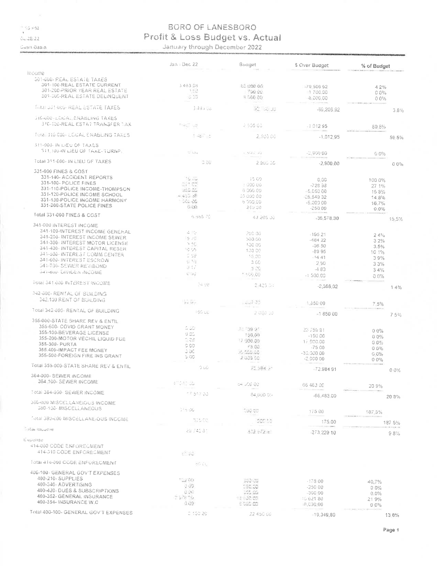$\frac{1}{\sqrt{25}}$  PM  $0.28.22$ 

Gush Basis

### **BORO OF LANESBORO** Profit & Loss Budget vs. Actual

January through December 2022

|                                                                       | Jan - Dec 22           | Buaget              | \$ Over Budget | % of Budget |
|-----------------------------------------------------------------------|------------------------|---------------------|----------------|-------------|
| income.                                                               |                        |                     |                |             |
| <b>301-000- REAL ESTATE TAXES</b>                                     |                        |                     |                |             |
| 301-T00-REAL ESTATE CURRENT<br>301-200-PRIOR YEAR REAL ESTATE         | 3 493 58               | <b>b2 000 00</b>    | -79.506.92     | 42%         |
| 301-300-REAL ESTATE DELINQUENT                                        | 1.SC<br>5.55           | 700 CO              | 1700.00        | 0.0%        |
|                                                                       |                        | 3.000.00            | 8.000.00       | 0.0%        |
| FULL 33 FROST REAL ESTATE TAXES                                       | 3,495.55               | 第一項                 | -89.206.92     | 3.8%        |
| <b>GIGHOU-LOUAL ENABLING TAXES</b><br>310-100-REAL ESTAT TRANSFER TAX |                        |                     |                |             |
|                                                                       | ಾವು ರಚ                 | 2,506,60            | $-1.01295$     | 59.5%       |
| Teta 110 COD/LOCAL ENABLING TAXES<br>311-000-1N LIEU OF TAXES         | $-6 - 1$               | 2.560.00            | $-1,012.95$    | 59.5%       |
| 311_100-IN LIEU OF TAXE-TURNP.                                        | U. Che                 | $1.333 - 202$       | $-2,900,00$    | G 0%        |
| Total 311-000- IN LIEU OF TAXES                                       | C OU                   | 2 805 56            | $-2,900,00$    | 0 0%        |
| 331-000 FINES & COST                                                  |                        |                     |                |             |
| 331-140- ACCIDENT REPORTS                                             | 15.35                  | 45.69               | 0.00           | 100.0%      |
| 331-100- POLICE FINES                                                 | 57.72                  | 3300.00             | $-72898$       | 27.1%       |
| 331-110-POLICE INCOME-THOMPSON                                        | utili life             | 6 000 00            | -5.050.00      | 158%        |
| 331-120-POLICE INCOME SCHOOL                                          | $-453.38$              | 30 000 00           | $-25,549,32$   | 14.8%       |
| 331-130-POLICE INCOME HARMONY                                         | SGS CG                 | 5.000.00            | $-5,000,00$    | 16.7%       |
| 331-200-STATE POLICE FINES                                            | 0.001                  | 250.00              | $-25000$       | 0.0%        |
| Total 331-000 FINES & COST                                            | 6.555.70               | 43 265 00           | -36.578.30     | 15.5%       |
| 341-000 INTEREST INCOME                                               |                        |                     |                |             |
| 341-100-INTEREST INCOME GENERAL                                       | $\frac{2}{4}$          | 200.06              | $-19521$       | 24%         |
| 341-200 INTEREST INCOME SEWER                                         | 6.76                   | 500.00              | $-48422$       | 32%         |
| 341-300- INTEREST MOTOR LICENSE                                       | $\leq$ $\leq$ $\geq$   | 100.00              | $-36.50$       | 3.5%        |
| 341-400- INTEREST CAPITAL RESER                                       | -995                   | 100.00              | $-89.95$       | 10.1%       |
| 341-500- INTEREST COMM CENTER<br>341-600- INTEREST ESCROW             | C SM                   | 16.00               | $-14.41$       | 3.9%        |
| 541-709-SEWER REVISOND                                                | $1 - 3 + 1$            | 3.66                | 2.90           | 33%         |
| 341-600- DiviDEN INCOME                                               | 5.17                   | 5.30.               | -483           | 3.4%        |
|                                                                       | U BU                   | <sup>* 500.00</sup> | $+1,500.00$    | 0.0%        |
| Foral 341-600 INTEREST INCOME                                         | 36.98                  | 2 423 04            | $-2.388.02$    | 14%         |
| 342-000-RENTAL OF BUILDING                                            |                        |                     |                |             |
| 342.100 RENT OF BUILDING                                              | <b>WEBS</b>            | i wudi dib          | 1.350.00       | 7.5%        |
| Total 342-800- RENTAL OF BUILDING                                     | <b>ISG DU</b>          | 2000-03             | $-185000$      | 7.5%        |
| 355-000-STATE SHARE REV & ENTIL                                       |                        |                     |                |             |
| 355-600- COVID GRANT MONEY                                            | S SO                   | 21.759.91           | 23,759.91      | 0.0%        |
| 355-100-BEVERAGE LICENSE                                              | U OS                   | 160.00              | -150.00        | 0.0%        |
| 355-200-MOTOR VECHIL LIQUID FUE                                       | 1.05                   | 12 000.00           | 12.000.00      | 0.0%        |
| 355-300- PURTA                                                        | 0.00                   | 75.00               | $-7500$        | 0.0%        |
| 355.400-IMPACT FEE MONEY                                              | 3 OC                   | 16.000.00           | $-30.000.00$   | 0.0%        |
| 355-500-FOREIGN FIRE INS GRANT                                        | 5.00                   | 2.000.00            | $-2.00000$     | $0.0\%$     |
| Total 355-800-STATE SHARE REV & ENTIL                                 | 0 D.G                  | 70 086 37           | 72.984.91      | 00%         |
| 364-000-SEWER INCOME                                                  |                        |                     |                |             |
| 364-100- SEWER INCOME                                                 | $1 - 1 + 30$           | ବଳ ତାହା ପିଝି        | 66 463 00      | 20.9%       |
| Total 364-000-SEWER INCOME                                            | <sup>812</sup> \$17.00 | 84 (au0 0).         | $-66,483,00$   | 20.9%       |
| 380-600 MISCELLANEIOUS INCOME<br>080-100-MISCELLANEOUS                | 01 o dG                | SUG SE              |                |             |
| <b>Fotal 380-006 MISCELLANE/OUS INCOME</b>                            |                        |                     | 175 00         | 187.5%      |
| <b>Mariticulité</b>                                                   | 3.570                  | 200.00              | 175.00         | 187 5%      |
|                                                                       | 28.740.81              | $3.32 - 72 + 1$     | 273 229 10     | 98%         |
| <b>L'asiemse</b>                                                      |                        |                     |                |             |
| 414-000 CODE ENFORECMENT<br>414-310 CODE ENFORECMENT                  | ಲ್ ಸಂ                  |                     |                |             |
| Total 414-000 GODE ENFURECMENT                                        | 66 J.Q                 |                     |                |             |
| 400-100-GENERAL GOV'T EXPENSES                                        |                        |                     |                |             |
| 400-210-SUPPLIES                                                      | 122.00                 | FOO US              |                |             |
| 400-340- ADVERTISING                                                  | 0.96                   | 150.00              | $-17800$       | 40.7%       |
| 400-420 - DUES & SUBSCRIPTIONS                                        | $G_{\alpha}$           | 306 GG              | -250 00        | 0.0%        |
| 400-352- GENERAL INSURANCE                                            | T 948 M                | 13:500.00           | -300.00        | 0.0%        |
| 460-354- INSURANCE W.C                                                | 0.003                  | eloco co            | 10 621 80      | 219%        |
|                                                                       |                        |                     | -8,000.00      | $0.0\%$     |
| Total 400-100- GENERAL GOV'T EXPENSES                                 | 0.100.20               | 22 450 00           | $-19,349,80$   | 13.8%       |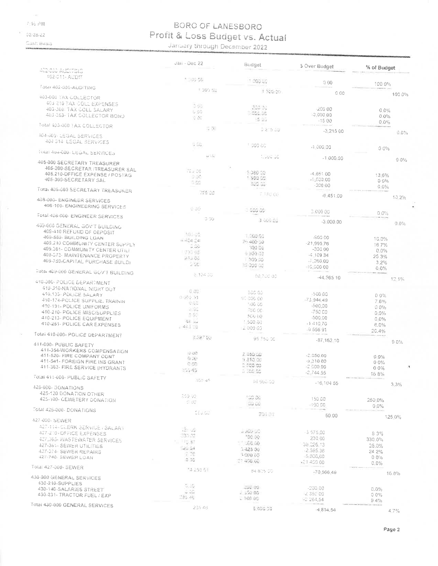$\omega$ 石轮望峰

 $02/28/22$ 

Cásh Basis

# BORO OF LANESBORO Profit & Loss Budget vs. Actual

| ACDIGOG ACIDINAIS                                                                                                                                                                                                                             | Jan - Dec 22                                                          | Budgel                                                                                       | 5 Over Budget                                                                    | % of Budget                                                    |
|-----------------------------------------------------------------------------------------------------------------------------------------------------------------------------------------------------------------------------------------------|-----------------------------------------------------------------------|----------------------------------------------------------------------------------------------|----------------------------------------------------------------------------------|----------------------------------------------------------------|
| 962-011- AUDIT                                                                                                                                                                                                                                | 1 50 00                                                               | 1.003.00                                                                                     | 0.00                                                                             | 100.0%                                                         |
| Fotal 402-000-AUDITING                                                                                                                                                                                                                        | 土 309 乱                                                               | T DOGLOG                                                                                     | 0.00                                                                             |                                                                |
| 403-000 TAX COLLECTOR<br>403 210 TAX GOLL EXPENSES<br>403-300 TAX COLL SALARY<br>403-253- TAX COLLECTOR BOND                                                                                                                                  | C GO.<br>500<br>3 高                                                   | 200.00<br>- 000.00                                                                           | -200.00<br>3,000.00                                                              | 100.0%<br>0.0%<br>0.0%                                         |
| Total 403/000 LAX COLLECTOR                                                                                                                                                                                                                   | 目間                                                                    | <b>IS 05</b><br>0.215.00                                                                     | $-1500$                                                                          | $0.0\%$                                                        |
| <b>404-DDD LEGAL SERVICES</b><br>404 014 LEGAL SERVICES                                                                                                                                                                                       | G DG                                                                  |                                                                                              | $-3.215$ 00                                                                      | $0.0\%$                                                        |
| <b>LORAL ADA-000-LEGAL SERVICES</b>                                                                                                                                                                                                           | 新聞                                                                    | 1,000.00                                                                                     | -1.000.00                                                                        | 0.0%                                                           |
| 405-000 SECRETARY TREASURER<br>405-200-SECRETAR (TREASURER SAL<br>405.210-OFFICE EXPENSE / POSTAG<br>405-300-SECRETARY SAL                                                                                                                    | ?29.00<br>D OC<br>5.66                                                | Eluitorius S<br>5:380.55<br>1 500.00                                                         | $-1,000,00$<br>$-465100$<br>$-1.500,00$                                          | $0.0\%$<br>13.6%<br>0.6%                                       |
| Total 405-000 SECRETARY TREASURER                                                                                                                                                                                                             | 726-22                                                                | 200 %<br>F 180 60                                                                            | $-300.00$                                                                        | 0.0%                                                           |
| 408-000- ENGINEER SERVICES<br>408-100- ENGINEERING SERVICES                                                                                                                                                                                   | 0.00                                                                  |                                                                                              | $-6.451.00$                                                                      | 13.2%                                                          |
| Total 408-660- ENGINEER SERVICES                                                                                                                                                                                                              | 0.00                                                                  | 00000                                                                                        | 3 000 00                                                                         | 0.0%                                                           |
| 409-000 GENERAL GOVIT SUILDING<br>409-410 REFUND OF GEPOSIT<br>409-550- BUILDING LOAN<br>409.210 COMMUNITY CENTER SUPPLY<br>409.361- COMMUNITY CENTER UTILE<br>408-373- MAINTENANCE PROPERTY<br>409-750-CAPITAL PURCHASE BUILDI               | 100-00<br>a 404.04<br>5.00<br>030-62<br>29U GG<br>0.66                | 3 600 Gs<br>1,500.00<br>$2 + 400 = 98$<br>300.00<br>$2.290$ $02$<br>1.500.00<br>10.000.00    | $-3,000,00$<br>-900.00<br>$-21.995.76$<br>$-30000$<br>$-410934$<br>$-7,260,00$   | 0.0%<br>10.0%<br>16.7%<br>0.0%<br>25 3%<br>3.2%                |
| Total 469-000 GENERAL GOV'T BUILDING                                                                                                                                                                                                          | 6.134.30                                                              | 80,700.00                                                                                    | $-10,000,00$<br>$-44.565.10$                                                     | 0.0%<br><b>Clinton</b>                                         |
| 410-000-POLICE DEPARTMENT<br>410-310-NATIONAL NIGHT OUT<br>410.135-POLICE SALARY<br>410-174-POLICE SUPPLIE, TRAININ<br>410-191- POLICE UNIFORMS<br>410-210- POLICE MISC/SUPPLIES<br>410-213- POLICE EQUIPMENT<br>410-251- POLICE CAR EXPENSES | 0.00<br>$0.055 - 51$<br>essa<br>0.53<br>3.00<br>for au<br>$-44.1 - 0$ | 500.00<br>SC 000 00<br>ADG 00<br>F60.00<br>509.00<br>1 500 00<br>z 900 00                    | -500.00<br>73 344 49<br>$-500.00$<br>-760 CO<br>500.00<br>$-1410.70$<br>0 556 91 | 12.1%<br>0 0%<br>7 6%<br>0.0%<br>0.0%<br>0.0%<br>6.0%<br>20.4% |
| Total 410-000- POLICE DEPARTMENT                                                                                                                                                                                                              | 228748                                                                | 95.750.00                                                                                    | $-87,162,10$                                                                     | 9.0%                                                           |
| 411-000- PUBLIC SAFETY<br>411-354-WORKERS COMPENSATION<br>411-520- FIRE COMPANY CONT<br>411-541- FOREIGN FIRE INS GRANT<br>411-363- FIRE SERVICE (HYDRANTS<br>Fotal 411-000- PUBLIC SAFETY                                                    | 0.00<br>0.00<br>0.00<br>55545                                         | 2.060.00<br>9.310.00<br>0.000.00<br>$-366.50$                                                | $-2.050.00$<br>$-3,310,00$<br>2,000.00<br>$-2,744.55$                            | 0.0%<br>0.0%<br>00%<br>168%                                    |
| 426-000- DONATIONS                                                                                                                                                                                                                            | つちさ ゆう                                                                | -6.560.00                                                                                    | $-16, 104, 55$                                                                   | 3.3%                                                           |
| 425-120 DONATION OTHER<br>425-100- CEMETERY DONATION                                                                                                                                                                                          | 850.00<br>$1 \overline{R}$                                            | 100.00<br><b>DD</b> up                                                                       | 150.00<br>190.00                                                                 | 250.0%<br>0.0%                                                 |
| Total 425-000-DONATIONS                                                                                                                                                                                                                       | CEU AVI                                                               | 200 KT                                                                                       | 50.00                                                                            |                                                                |
| 427-000-SEWER<br>427-114 CLERK BERVICE / SALARY<br>427-210 FFFICE EXPENSES<br>427.365-VHASTEWATER SERVICES<br><b>427-361-SEWER UTILITIES</b><br>427-374- SEWER REPAIRS<br>427 748 SEWER LOAN                                                  | Let us<br>332.33<br>N. 165.87<br>162.04<br>7.00<br>0.00               | $ \pi\Omega\Theta$ , $\omega$<br>100.00<br>$-56.00$<br>1425 00<br><b>SCOUDS</b><br>21.460.00 | $-3,575,00$<br>230.00<br>38.226.13<br>$-2,595,36$<br>$-5,000,00$                 | 125.0%<br>8.3%<br>330.0%<br>25.0%<br>24 2%<br>$0.0\%$          |
| Tota: 427-000- SEWFR                                                                                                                                                                                                                          | <sup>*</sup> 4 258 ST                                                 |                                                                                              | +21.466.00                                                                       | 0.0%                                                           |
| 430-000 GENERAL SERVICES<br>430-210-SUPPLIES<br>430-140-SALARIES STREET<br>430-231- TRACTOR FUEL / EXP                                                                                                                                        | 5.52<br>$\sim 55$<br>135.46                                           | 84 805 00<br>345.09<br>2.500.00<br>000000                                                    | $-70.566.49$<br>$-20000$<br>-2.350.00<br>$-2, 264, 54$                           | 16.8%<br>0.0%<br>00%                                           |
| Total 430-000 GENERAL SERVICES                                                                                                                                                                                                                | 235.46                                                                | 5.055.00                                                                                     | $-4814.54$                                                                       | 9.4%<br>4.7%                                                   |